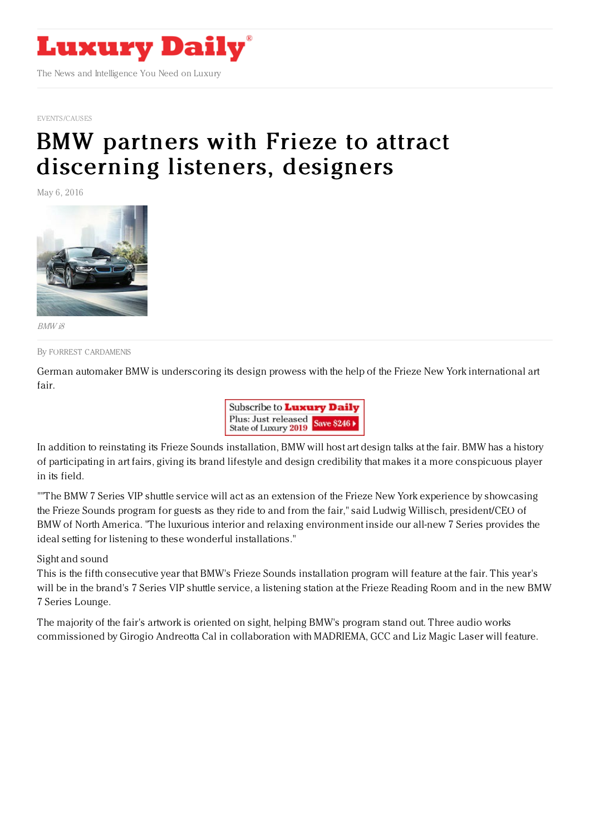

[EVENTS/CAUSES](https://www.luxurydaily.com/category/news/events/)

# BMW partners with Frieze to attract [discerning](https://www.luxurydaily.com/bmw-partners-with-frieze-to-attract-discerning-listeners-designers/) listeners, designers

May 6, 2016



BMW i8

By FORREST [CARDAMENIS](file:///author/forrest-cardamenis)

German automaker BMW is underscoring its design prowess with the help of the Frieze New York international art fair.



In addition to reinstating its Frieze Sounds installation, BMW will host art design talks at the fair. BMW has a history of participating in art fairs, giving its brand lifestyle and design credibility that makes it a more conspicuous player in its field.

""The BMW 7 Series VIP shuttle service will act as an extension of the Frieze New York experience by showcasing the Frieze Sounds program for guests as they ride to and from the fair," said Ludwig Willisch, president/CEO of BMW of North America. "The luxurious interior and relaxing environment inside our all-new 7 Series provides the ideal setting for listening to these wonderful installations."

Sight and sound

This is the fifth consecutive year that BMW's Frieze Sounds installation program will feature at the fair. This year's will be in the brand's 7 Series VIP shuttle service, a listening station at the Frieze Reading Room and in the new BMW 7 Series Lounge.

The majority of the fair's artwork is oriented on sight, helping BMW's program stand out. Three audio works commissioned by Girogio Andreotta Cal in collaboration with MADRIEMA, GCC and Liz Magic Laser will feature.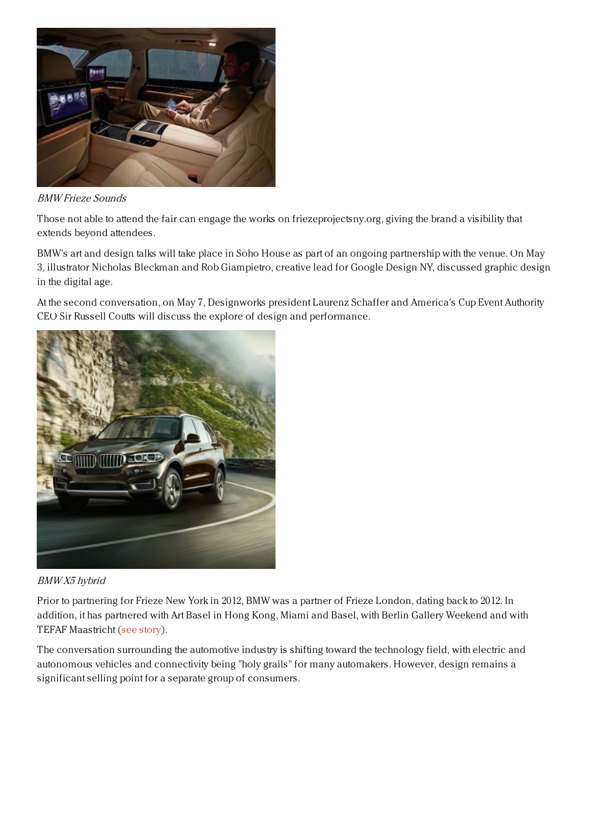

## BMW Frieze Sounds

Those not able to attend the fair can engage the works on friezeprojectsny.org, giving the brand a visibility that extends beyond attendees.

BMW's art and design talks will take place in Soho House as part of an ongoing partnership with the venue. On May 3, illustrator Nicholas Bleckman and Rob Giampietro, creative lead for Google Design NY, discussed graphic design in the digital age.

At the second conversation, on May 7, Designworks president Laurenz Schaffer and America's Cup Event Authority CEO Sir Russell Coutts will discuss the explore of design and performance.



## BMW X5 hybrid

Prior to partnering for Frieze New York in 2012, BMW was a partner of Frieze London, dating back to 2012. In addition, it has partnered with Art Basel in Hong Kong, Miami and Basel, with Berlin Gallery Weekend and with TEFAF Maastricht (see [story](https://www.luxurydaily.com/bmw-gets-its-name-out-by-sponsoring-european-art-fair/)).

The conversation surrounding the automotive industry is shifting toward the technology field, with electric and autonomous vehicles and connectivity being "holy grails" for many automakers. However, design remains a significant selling point for a separate group of consumers.